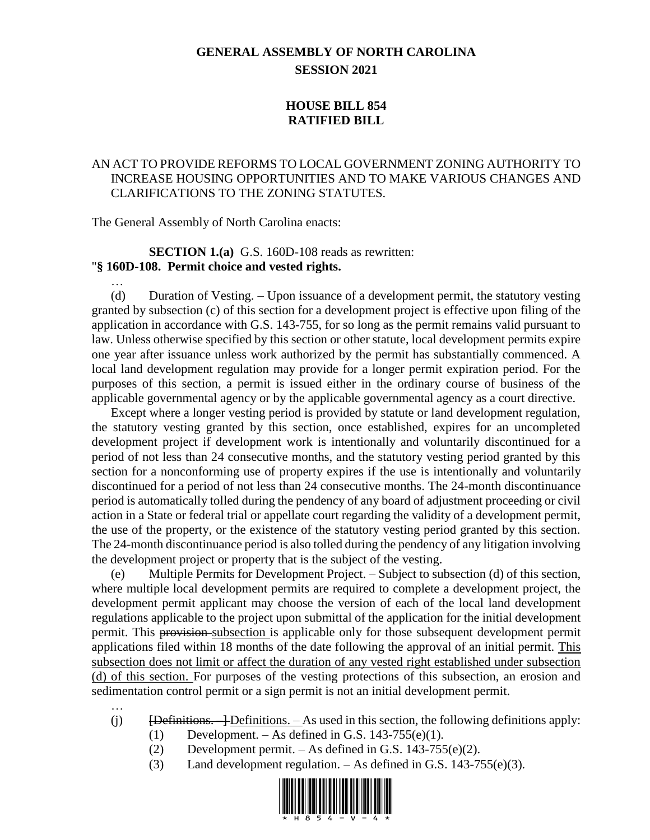# **GENERAL ASSEMBLY OF NORTH CAROLINA SESSION 2021**

## **HOUSE BILL 854 RATIFIED BILL**

## AN ACT TO PROVIDE REFORMS TO LOCAL GOVERNMENT ZONING AUTHORITY TO INCREASE HOUSING OPPORTUNITIES AND TO MAKE VARIOUS CHANGES AND CLARIFICATIONS TO THE ZONING STATUTES.

The General Assembly of North Carolina enacts:

#### **SECTION 1.(a)** G.S. 160D-108 reads as rewritten: "**§ 160D-108. Permit choice and vested rights.**

…

…

(d) Duration of Vesting. – Upon issuance of a development permit, the statutory vesting granted by subsection (c) of this section for a development project is effective upon filing of the application in accordance with G.S. 143-755, for so long as the permit remains valid pursuant to law. Unless otherwise specified by this section or other statute, local development permits expire one year after issuance unless work authorized by the permit has substantially commenced. A local land development regulation may provide for a longer permit expiration period. For the purposes of this section, a permit is issued either in the ordinary course of business of the applicable governmental agency or by the applicable governmental agency as a court directive.

Except where a longer vesting period is provided by statute or land development regulation, the statutory vesting granted by this section, once established, expires for an uncompleted development project if development work is intentionally and voluntarily discontinued for a period of not less than 24 consecutive months, and the statutory vesting period granted by this section for a nonconforming use of property expires if the use is intentionally and voluntarily discontinued for a period of not less than 24 consecutive months. The 24-month discontinuance period is automatically tolled during the pendency of any board of adjustment proceeding or civil action in a State or federal trial or appellate court regarding the validity of a development permit, the use of the property, or the existence of the statutory vesting period granted by this section. The 24-month discontinuance period is also tolled during the pendency of any litigation involving the development project or property that is the subject of the vesting.

(e) Multiple Permits for Development Project. – Subject to subsection (d) of this section, where multiple local development permits are required to complete a development project, the development permit applicant may choose the version of each of the local land development regulations applicable to the project upon submittal of the application for the initial development permit. This provision subsection is applicable only for those subsequent development permit applications filed within 18 months of the date following the approval of an initial permit. This subsection does not limit or affect the duration of any vested right established under subsection (d) of this section. For purposes of the vesting protections of this subsection, an erosion and sedimentation control permit or a sign permit is not an initial development permit.

- (j)  $\overline{D}$  [Definitions.  $\overline{D}$  = Definitions.  $\overline{D}$  As used in this section, the following definitions apply:
	- (1) Development. As defined in G.S. 143-755(e)(1).
	- (2) Development permit. As defined in G.S.  $143-755(e)(2)$ .
	- (3) Land development regulation.  $-$  As defined in G.S. 143-755(e)(3).

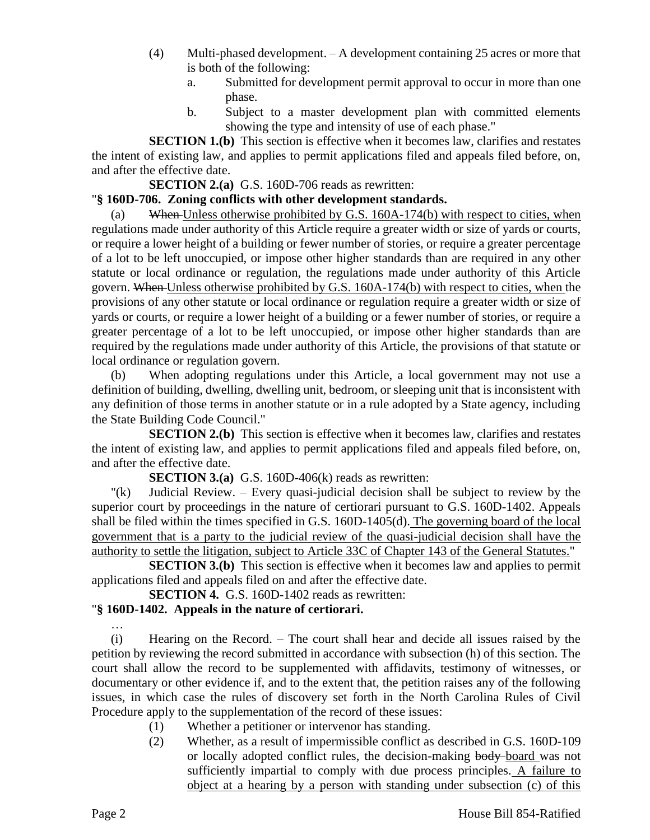- (4) Multi-phased development. A development containing 25 acres or more that is both of the following:
	- a. Submitted for development permit approval to occur in more than one phase.
	- b. Subject to a master development plan with committed elements showing the type and intensity of use of each phase."

**SECTION 1.(b)** This section is effective when it becomes law, clarifies and restates the intent of existing law, and applies to permit applications filed and appeals filed before, on, and after the effective date.

### **SECTION 2.(a)** G.S. 160D-706 reads as rewritten:

# "**§ 160D-706. Zoning conflicts with other development standards.**

(a) When Unless otherwise prohibited by G.S. 160A-174(b) with respect to cities, when regulations made under authority of this Article require a greater width or size of yards or courts, or require a lower height of a building or fewer number of stories, or require a greater percentage of a lot to be left unoccupied, or impose other higher standards than are required in any other statute or local ordinance or regulation, the regulations made under authority of this Article govern. When Unless otherwise prohibited by G.S. 160A-174(b) with respect to cities, when the provisions of any other statute or local ordinance or regulation require a greater width or size of yards or courts, or require a lower height of a building or a fewer number of stories, or require a greater percentage of a lot to be left unoccupied, or impose other higher standards than are required by the regulations made under authority of this Article, the provisions of that statute or local ordinance or regulation govern.

(b) When adopting regulations under this Article, a local government may not use a definition of building, dwelling, dwelling unit, bedroom, or sleeping unit that is inconsistent with any definition of those terms in another statute or in a rule adopted by a State agency, including the State Building Code Council."

**SECTION 2.(b)** This section is effective when it becomes law, clarifies and restates the intent of existing law, and applies to permit applications filed and appeals filed before, on, and after the effective date.

**SECTION 3.(a)** G.S. 160D-406(k) reads as rewritten:

"(k) Judicial Review. – Every quasi-judicial decision shall be subject to review by the superior court by proceedings in the nature of certiorari pursuant to G.S. 160D-1402. Appeals shall be filed within the times specified in G.S. 160D-1405(d). The governing board of the local government that is a party to the judicial review of the quasi-judicial decision shall have the authority to settle the litigation, subject to Article 33C of Chapter 143 of the General Statutes."

**SECTION 3.(b)** This section is effective when it becomes law and applies to permit applications filed and appeals filed on and after the effective date.

**SECTION 4.** G.S. 160D-1402 reads as rewritten:

# "**§ 160D-1402. Appeals in the nature of certiorari.**

(i) Hearing on the Record. – The court shall hear and decide all issues raised by the petition by reviewing the record submitted in accordance with subsection (h) of this section. The court shall allow the record to be supplemented with affidavits, testimony of witnesses, or documentary or other evidence if, and to the extent that, the petition raises any of the following issues, in which case the rules of discovery set forth in the North Carolina Rules of Civil Procedure apply to the supplementation of the record of these issues:

- (1) Whether a petitioner or intervenor has standing.
- (2) Whether, as a result of impermissible conflict as described in G.S. 160D-109 or locally adopted conflict rules, the decision-making body board was not sufficiently impartial to comply with due process principles. A failure to object at a hearing by a person with standing under subsection (c) of this

…